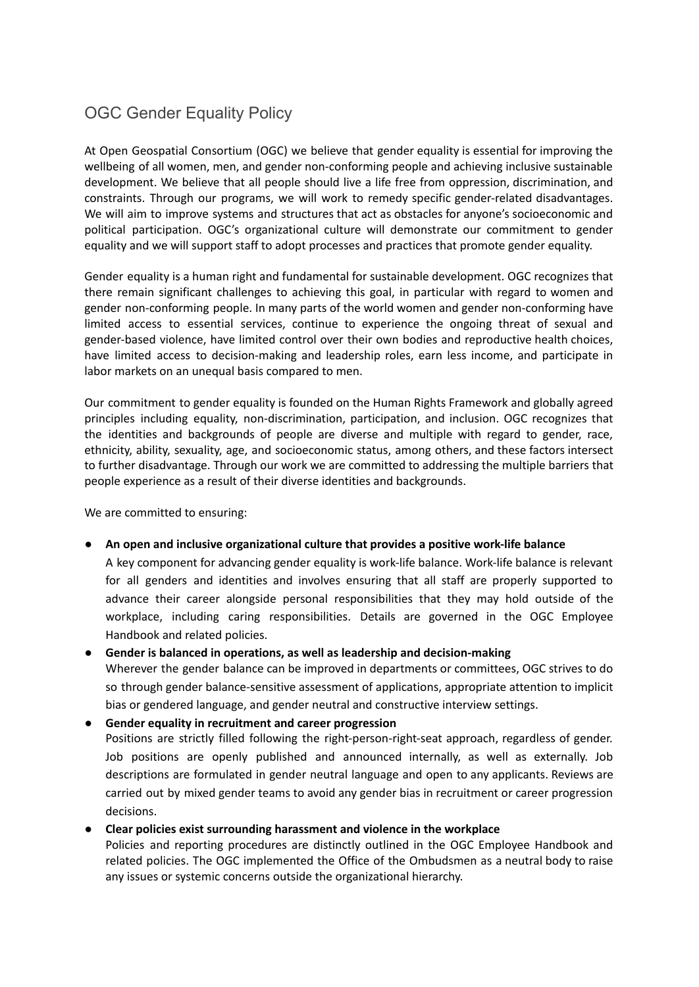## OGC Gender Equality Policy

At Open Geospatial Consortium (OGC) we believe that gender equality is essential for improving the wellbeing of all women, men, and gender non-conforming people and achieving inclusive sustainable development. We believe that all people should live a life free from oppression, discrimination, and constraints. Through our programs, we will work to remedy specific gender-related disadvantages. We will aim to improve systems and structures that act as obstacles for anyone's socioeconomic and political participation. OGC's organizational culture will demonstrate our commitment to gender equality and we will support staff to adopt processes and practices that promote gender equality.

Gender equality is a human right and fundamental for sustainable development. OGC recognizes that there remain significant challenges to achieving this goal, in particular with regard to women and gender non-conforming people. In many parts of the world women and gender non-conforming have limited access to essential services, continue to experience the ongoing threat of sexual and gender-based violence, have limited control over their own bodies and reproductive health choices, have limited access to decision-making and leadership roles, earn less income, and participate in labor markets on an unequal basis compared to men.

Our commitment to gender equality is founded on the Human Rights Framework and globally agreed principles including equality, non-discrimination, participation, and inclusion. OGC recognizes that the identities and backgrounds of people are diverse and multiple with regard to gender, race, ethnicity, ability, sexuality, age, and socioeconomic status, among others, and these factors intersect to further disadvantage. Through our work we are committed to addressing the multiple barriers that people experience as a result of their diverse identities and backgrounds.

We are committed to ensuring:

## ● **An open and inclusive organizational culture that provides a positive work-life balance**

A key component for advancing gender equality is work-life balance. Work-life balance is relevant for all genders and identities and involves ensuring that all staff are properly supported to advance their career alongside personal responsibilities that they may hold outside of the workplace, including caring responsibilities. Details are governed in the OGC Employee Handbook and related policies.

## **● Gender is balanced in operations, as well as leadership and decision-making**

Wherever the gender balance can be improved in departments or committees, OGC strives to do so through gender balance-sensitive assessment of applications, appropriate attention to implicit bias or gendered language, and gender neutral and constructive interview settings.

**● Gender equality in recruitment and career progression**

Positions are strictly filled following the right-person-right-seat approach, regardless of gender. Job positions are openly published and announced internally, as well as externally. Job descriptions are formulated in gender neutral language and open to any applicants. Reviews are carried out by mixed gender teams to avoid any gender bias in recruitment or career progression decisions.

## ● **Clear policies exist surrounding harassment and violence in the workplace**

Policies and reporting procedures are distinctly outlined in the OGC Employee Handbook and related policies. The OGC implemented the Office of the Ombudsmen as a neutral body to raise any issues or systemic concerns outside the organizational hierarchy.